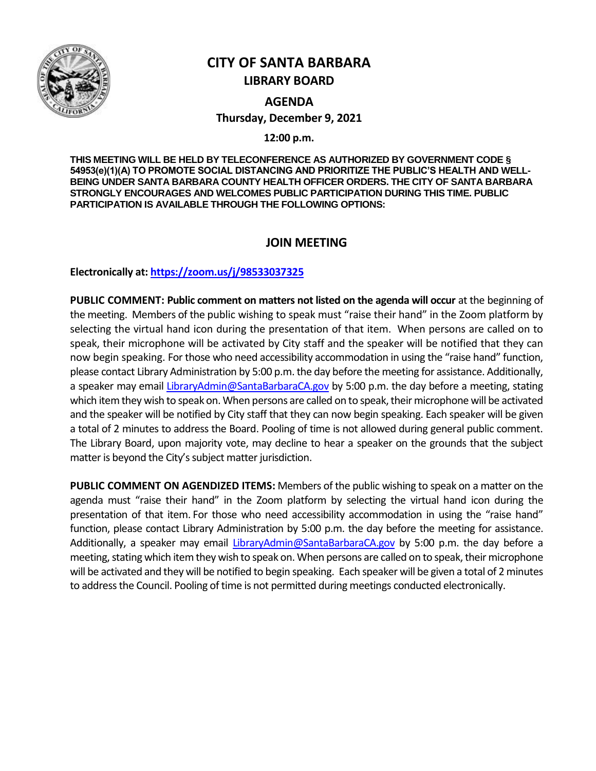

# **CITY OF SANTA BARBARA LIBRARY BOARD**

**AGENDA Thursday, December 9, 2021**

**12:00 p.m.**

**THIS MEETING WILL BE HELD BY TELECONFERENCE AS AUTHORIZED BY GOVERNMENT CODE § 54953(e)(1)(A) TO PROMOTE SOCIAL DISTANCING AND PRIORITIZE THE PUBLIC'S HEALTH AND WELL-BEING UNDER SANTA BARBARA COUNTY HEALTH OFFICER ORDERS. THE CITY OF SANTA BARBARA STRONGLY ENCOURAGES AND WELCOMES PUBLIC PARTICIPATION DURING THIS TIME. PUBLIC PARTICIPATION IS AVAILABLE THROUGH THE FOLLOWING OPTIONS:**

# **JOIN MEETING**

**Electronically at[: https://zoom.us/j/98533037325](https://zoom.us/j/98533037325)**

**PUBLIC COMMENT: Public comment on matters not listed on the agenda will occur** at the beginning of the meeting. Members of the public wishing to speak must "raise their hand" in the Zoom platform by selecting the virtual hand icon during the presentation of that item. When persons are called on to speak, their microphone will be activated by City staff and the speaker will be notified that they can now begin speaking. For those who need accessibility accommodation in using the "raise hand" function, please contact Library Administration by 5:00 p.m. the day before the meeting for assistance. Additionally, a speaker may email [LibraryAdmin@SantaBarbaraCA.gov](mailto:LibraryAdmin@SantaBarbaraCA.gov) by 5:00 p.m. the day before a meeting, stating which item they wish to speak on. When persons are called on to speak, their microphone will be activated and the speaker will be notified by City staff that they can now begin speaking. Each speaker will be given a total of 2 minutes to address the Board. Pooling of time is not allowed during general public comment. The Library Board, upon majority vote, may decline to hear a speaker on the grounds that the subject matter is beyond the City's subject matter jurisdiction.

**PUBLIC COMMENT ON AGENDIZED ITEMS:** Members of the public wishing to speak on a matter on the agenda must "raise their hand" in the Zoom platform by selecting the virtual hand icon during the presentation of that item. For those who need accessibility accommodation in using the "raise hand" function, please contact Library Administration by 5:00 p.m. the day before the meeting for assistance. Additionally, a speaker may email [LibraryAdmin@SantaBarbaraCA.gov](mailto:LibraryAdmin@SantaBarbaraCA.gov) by 5:00 p.m. the day before a meeting, stating which item they wish to speak on. When persons are called on to speak, their microphone will be activated and they will be notified to begin speaking. Each speaker will be given a total of 2 minutes to address the Council. Pooling of time is not permitted during meetings conducted electronically.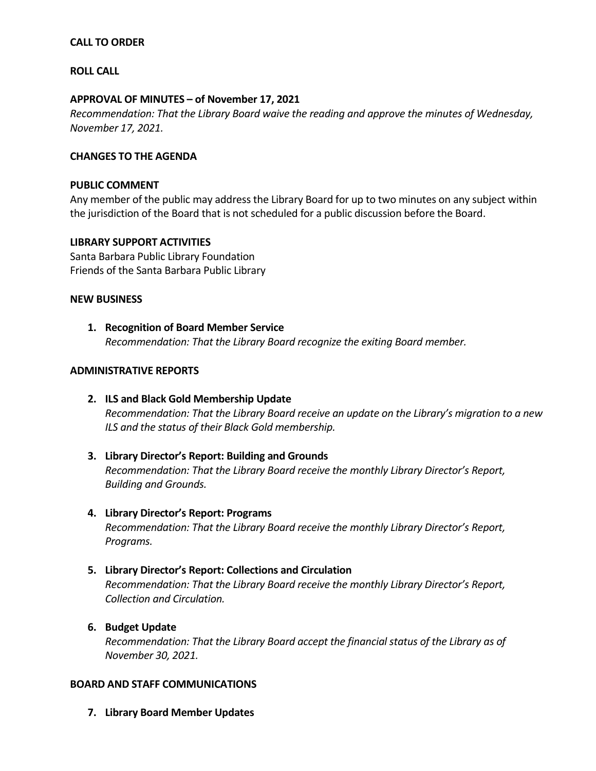## **CALL TO ORDER**

### **ROLL CALL**

### **APPROVAL OF MINUTES – of November 17, 2021**

*Recommendation: That the Library Board waive the reading and approve the minutes of Wednesday, November 17, 2021.*

### **CHANGES TO THE AGENDA**

#### **PUBLIC COMMENT**

Any member of the public may address the Library Board for up to two minutes on any subject within the jurisdiction of the Board that is not scheduled for a public discussion before the Board.

### **LIBRARY SUPPORT ACTIVITIES**

Santa Barbara Public Library Foundation Friends of the Santa Barbara Public Library

### **NEW BUSINESS**

**1. Recognition of Board Member Service** *Recommendation: That the Library Board recognize the exiting Board member.*

### **ADMINISTRATIVE REPORTS**

- **2. ILS and Black Gold Membership Update** *Recommendation: That the Library Board receive an update on the Library's migration to a new ILS and the status of their Black Gold membership.*
- **3. Library Director's Report: Building and Grounds** *Recommendation: That the Library Board receive the monthly Library Director's Report, Building and Grounds.*
- **4. Library Director's Report: Programs** *Recommendation: That the Library Board receive the monthly Library Director's Report, Programs.*

# **5. Library Director's Report: Collections and Circulation** *Recommendation: That the Library Board receive the monthly Library Director's Report, Collection and Circulation.*

**6. Budget Update**

*Recommendation: That the Library Board accept the financial status of the Library as of November 30, 2021.* 

#### **BOARD AND STAFF COMMUNICATIONS**

**7. Library Board Member Updates**